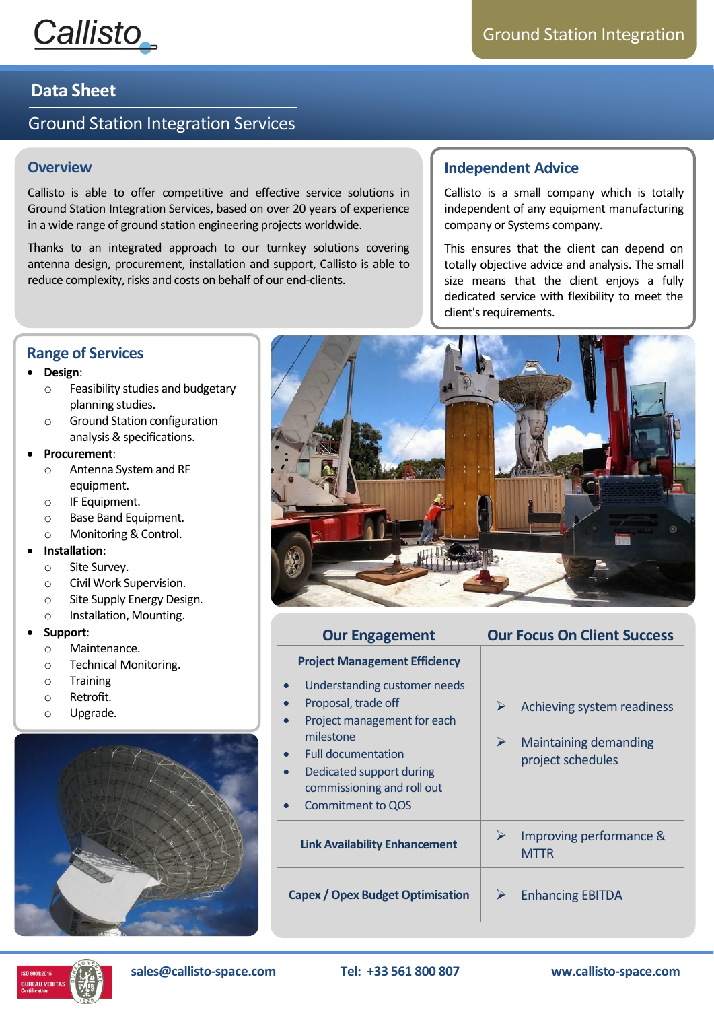

## **Data Sheet**

# Ground Station Integration Services

### **Overview**

Callisto is able to offer competitive and effective service solutions in Ground Station Integration Services, based on over 20 years of experience in a wide range of ground station engineering projects worldwide.

Thanks to an integrated approach to our turnkey solutions covering antenna design, procurement, installation and support, Callisto is able to reduce complexity, risks and costs on behalf of our end-clients.

## **Independent Advice**

Callisto is a small company which is totally independent of any equipment manufacturing company or Systems company.

This ensures that the client can depend on totally objective advice and analysis. The small size means that the client enjoys a fully dedicated service with flexibility to meet the client's requirements.

## **Range of Services**

### • **Design**:

- o Feasibility studies and budgetary planning studies.
- o Ground Station configuration analysis & specifications.

### • **Procurement**:

- o Antenna System and RF equipment.
- o IF Equipment.
- o Base Band Equipment.
- o Monitoring & Control.
- **Installation**:
	- o Site Survey.
	- o Civil Work Supervision.
	- o Site Supply Energy Design.
	- o Installation, Mounting.

#### • **Support**:

- o Maintenance.
- o Technical Monitoring.
- o Training
- o Retrofit.
- o Upgrade.





| <b>Our Engagement</b>                                                                                                                                                                                                                                                                     | <b>Our Focus On Client Success</b>                                                        |  |  |  |
|-------------------------------------------------------------------------------------------------------------------------------------------------------------------------------------------------------------------------------------------------------------------------------------------|-------------------------------------------------------------------------------------------|--|--|--|
| <b>Project Management Efficiency</b>                                                                                                                                                                                                                                                      |                                                                                           |  |  |  |
| Understanding customer needs<br>$\bullet$<br>Proposal, trade off<br>$\bullet$<br>Project management for each<br>$\bullet$<br>milestone<br><b>Full documentation</b><br>$\bullet$<br>Dedicated support during<br>$\bullet$<br>commissioning and roll out<br>Commitment to QOS<br>$\bullet$ | Achieving system readiness<br>➤<br><b>Maintaining demanding</b><br>➤<br>project schedules |  |  |  |
| <b>Link Availability Enhancement</b>                                                                                                                                                                                                                                                      | Improving performance &<br>➤<br><b>MTTR</b>                                               |  |  |  |
| <b>Capex / Opex Budget Optimisation</b>                                                                                                                                                                                                                                                   | <b>Enhancing EBITDA</b><br>⋗                                                              |  |  |  |



**sales@callisto-space.com Tel: +33 561 800 807 ww.callisto-space.com**